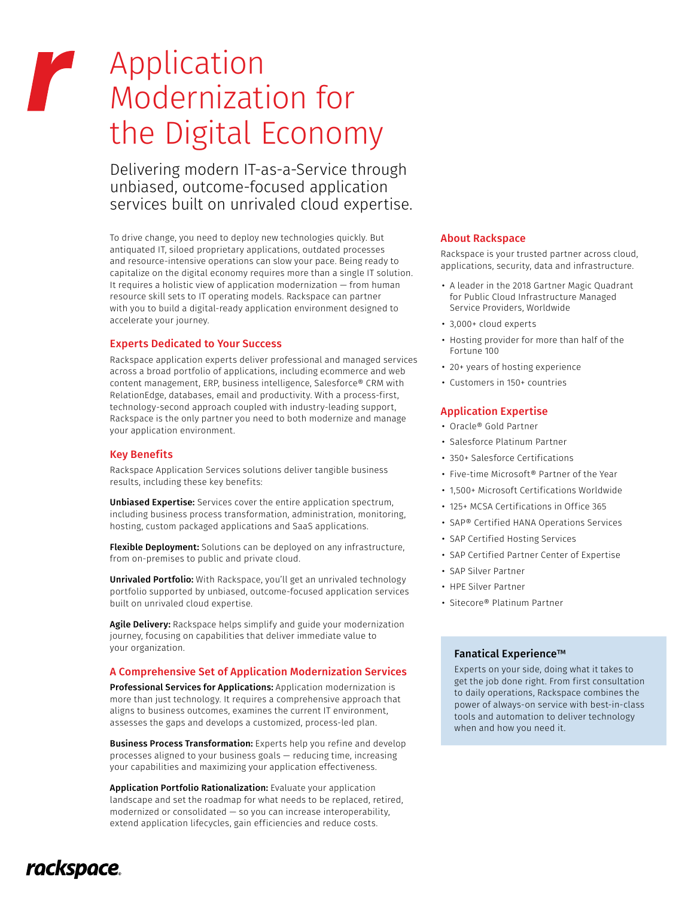# Application r Modernization for the Digital Economy

Delivering modern IT-as-a-Service through unbiased, outcome-focused application services built on unrivaled cloud expertise.

To drive change, you need to deploy new technologies quickly. But antiquated IT, siloed proprietary applications, outdated processes and resource-intensive operations can slow your pace. Being ready to capitalize on the digital economy requires more than a single IT solution. It requires a holistic view of application modernization — from human resource skill sets to IT operating models. Rackspace can partner with you to build a digital-ready application environment designed to accelerate your journey.

## Experts Dedicated to Your Success

Rackspace application experts deliver professional and managed services across a broad portfolio of applications, including ecommerce and web content management, ERP, business intelligence, Salesforce® CRM with RelationEdge, databases, email and productivity. With a process-first, technology-second approach coupled with industry-leading support, Rackspace is the only partner you need to both modernize and manage your application environment.

## Key Benefits

Rackspace Application Services solutions deliver tangible business results, including these key benefits:

Unbiased Expertise: Services cover the entire application spectrum, including business process transformation, administration, monitoring, hosting, custom packaged applications and SaaS applications.

Flexible Deployment: Solutions can be deployed on any infrastructure, from on-premises to public and private cloud.

Unrivaled Portfolio: With Rackspace, you'll get an unrivaled technology portfolio supported by unbiased, outcome-focused application services built on unrivaled cloud expertise.

Agile Delivery: Rackspace helps simplify and guide your modernization journey, focusing on capabilities that deliver immediate value to your organization.

# A Comprehensive Set of Application Modernization Services

Professional Services for Applications: Application modernization is more than just technology. It requires a comprehensive approach that aligns to business outcomes, examines the current IT environment, assesses the gaps and develops a customized, process-led plan.

**Business Process Transformation:** Experts help you refine and develop processes aligned to your business goals — reducing time, increasing your capabilities and maximizing your application effectiveness.

Application Portfolio Rationalization: Evaluate your application landscape and set the roadmap for what needs to be replaced, retired, modernized or consolidated — so you can increase interoperability, extend application lifecycles, gain efficiencies and reduce costs.

### About Rackspace

Rackspace is your trusted partner across cloud, applications, security, data and infrastructure.

- A leader in the 2018 Gartner Magic Quadrant for Public Cloud Infrastructure Managed Service Providers, Worldwide
- 3,000+ cloud experts
- Hosting provider for more than half of the Fortune 100
- 20+ years of hosting experience
- Customers in 150+ countries

## Application Expertise

- Oracle® Gold Partner
- Salesforce Platinum Partner
- 350+ Salesforce Certifications
- Five-time Microsoft® Partner of the Year
- 1,500+ Microsoft Certifications Worldwide
- 125+ MCSA Certifications in Office 365
- SAP® Certified HANA Operations Services
- SAP Certified Hosting Services
- SAP Certified Partner Center of Expertise
- SAP Silver Partner
- HPE Silver Partner
- Sitecore® Platinum Partner

## Fanatical Experience™

Experts on your side, doing what it takes to get the job done right. From first consultation to daily operations, Rackspace combines the power of always-on service with best-in-class tools and automation to deliver technology when and how you need it.